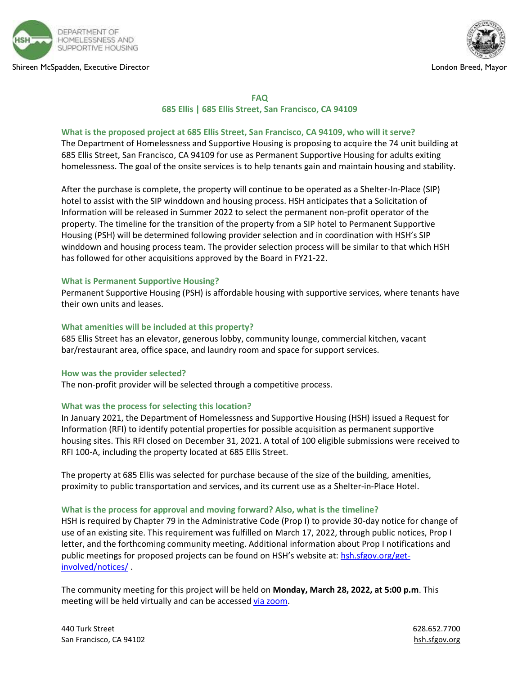





#### **FAQ**

## **685 Ellis | 685 Ellis Street, San Francisco, CA 94109**

## **What is the proposed project at 685 Ellis Street, San Francisco, CA 94109, who will it serve?**

The Department of Homelessness and Supportive Housing is proposing to acquire the 74 unit building at 685 Ellis Street, San Francisco, CA 94109 for use as Permanent Supportive Housing for adults exiting homelessness. The goal of the onsite services is to help tenants gain and maintain housing and stability.

After the purchase is complete, the property will continue to be operated as a Shelter-In-Place (SIP) hotel to assist with the SIP winddown and housing process. HSH anticipates that a Solicitation of Information will be released in Summer 2022 to select the permanent non-profit operator of the property. The timeline for the transition of the property from a SIP hotel to Permanent Supportive Housing (PSH) will be determined following provider selection and in coordination with HSH's SIP winddown and housing process team. The provider selection process will be similar to that which HSH has followed for other acquisitions approved by the Board in FY21-22.

#### **What is Permanent Supportive Housing?**

Permanent Supportive Housing (PSH) is affordable housing with supportive services, where tenants have their own units and leases.

## **What amenities will be included at this property?**

685 Ellis Street has an elevator, generous lobby, community lounge, commercial kitchen, vacant bar/restaurant area, office space, and laundry room and space for support services.

#### **How was the provider selected?**

The non-profit provider will be selected through a competitive process.

## **What was the process for selecting this location?**

In January 2021, the Department of Homelessness and Supportive Housing (HSH) issued a Request for Information (RFI) to identify potential properties for possible acquisition as permanent supportive housing sites. This RFI closed on December 31, 2021. A total of 100 eligible submissions were received to RFI 100-A, including the property located at 685 Ellis Street.

The property at 685 Ellis was selected for purchase because of the size of the building, amenities, proximity to public transportation and services, and its current use as a Shelter-in-Place Hotel.

#### **What is the process for approval and moving forward? Also, what is the timeline?**

HSH is required by Chapter 79 in the Administrative Code (Prop I) to provide 30-day notice for change of use of an existing site. This requirement was fulfilled on March 17, 2022, through public notices, Prop I letter, and the forthcoming community meeting. Additional information about Prop I notifications and public meetings for proposed projects can be found on HSH's website at: [hsh.sfgov.org/get](https://url.avanan.click/v2/___https:/hsh.sfgov.org/get-involved/notices/___.YXAzOnNmZHQyOmE6bzo3NzZiYzczZGM3M2NmN2Y2NTBlY2MzMmI5M2U2OGEyNDo1OjQ5M2I6ZDBiNmE4ZWE1MjA3ZDMxM2RmMjYyZjM0YTY1ZWE4ZjgxODE5ZTdiMjM4OTc4ODllZmM4NmE1ZjRjZDRhNDg4YTpoOk4)[involved/notices/](https://url.avanan.click/v2/___https:/hsh.sfgov.org/get-involved/notices/___.YXAzOnNmZHQyOmE6bzo3NzZiYzczZGM3M2NmN2Y2NTBlY2MzMmI5M2U2OGEyNDo1OjQ5M2I6ZDBiNmE4ZWE1MjA3ZDMxM2RmMjYyZjM0YTY1ZWE4ZjgxODE5ZTdiMjM4OTc4ODllZmM4NmE1ZjRjZDRhNDg4YTpoOk4) .

The community meeting for this project will be held on **Monday, March 28, 2022, at 5:00 p.m**. This meeting will be held virtually and can be accessed [via zoom.](https://url.avanan.click/v2/___https:/zoom.us/meeting/register/tJMvcOmhqT8iGNNtdZ8FHaoNX65xarE1eIZx___.YXAzOnNmZHQyOmE6bzo3NzZiYzczZGM3M2NmN2Y2NTBlY2MzMmI5M2U2OGEyNDo1OjhmN2M6OTk3MzcyOGNlMWM5M2JiNTQyNjA4Y2NhZTFmOWNiMjNiZDMwYTZkMTRmYTdjNTY4ZmRlMGVhMGI3MGRlNDNkMzpoOk4)